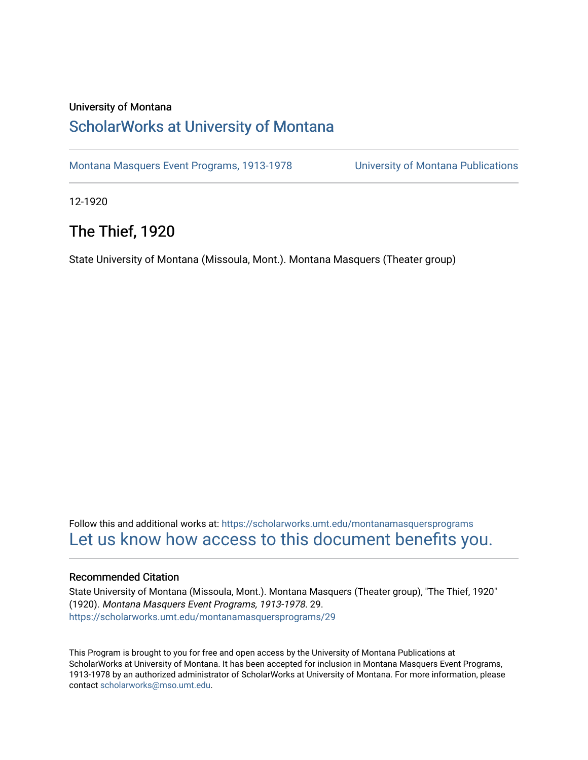#### University of Montana

### [ScholarWorks at University of Montana](https://scholarworks.umt.edu/)

[Montana Masquers Event Programs, 1913-1978](https://scholarworks.umt.edu/montanamasquersprograms) [University of Montana Publications](https://scholarworks.umt.edu/umpubs) 

12-1920

### The Thief, 1920

State University of Montana (Missoula, Mont.). Montana Masquers (Theater group)

Follow this and additional works at: [https://scholarworks.umt.edu/montanamasquersprograms](https://scholarworks.umt.edu/montanamasquersprograms?utm_source=scholarworks.umt.edu%2Fmontanamasquersprograms%2F29&utm_medium=PDF&utm_campaign=PDFCoverPages) [Let us know how access to this document benefits you.](https://goo.gl/forms/s2rGfXOLzz71qgsB2) 

#### Recommended Citation

State University of Montana (Missoula, Mont.). Montana Masquers (Theater group), "The Thief, 1920" (1920). Montana Masquers Event Programs, 1913-1978. 29. [https://scholarworks.umt.edu/montanamasquersprograms/29](https://scholarworks.umt.edu/montanamasquersprograms/29?utm_source=scholarworks.umt.edu%2Fmontanamasquersprograms%2F29&utm_medium=PDF&utm_campaign=PDFCoverPages) 

This Program is brought to you for free and open access by the University of Montana Publications at ScholarWorks at University of Montana. It has been accepted for inclusion in Montana Masquers Event Programs, 1913-1978 by an authorized administrator of ScholarWorks at University of Montana. For more information, please contact [scholarworks@mso.umt.edu](mailto:scholarworks@mso.umt.edu).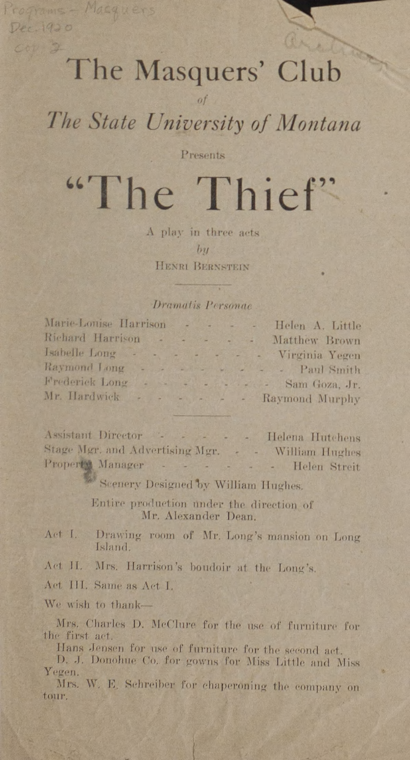# The Masquers' Club

 $of$ 

The State University of Montana

Presents

# "The Thief"

A play in three acts  $by$ HENRI BERNSTEIN

#### Dramatis Personae

Marie-Louise Harrison - -Richard Harrison -Isabelle Long  $\sim$ Raymond Long - -Frederick Long . . . . . . . . . Sam Goza, Jr. Mr. Hardwick - - - - - - Raymond Murphy

Programs - Masquers

Dec. 1920  $C_0(1)$  2

> - - Helen A. Little - - - - Matthew Brown <u> Paul Mile</u>randi L Virginia Yegen Paul Smith

Assistant Director Helena Hutchens Stage Mgr. and Advertising Mgr. - - William Hughes Property Manager - - - - - - Helen Streit

Scenery Designed by William Hughes.

Entire production under the direction of Mr. Alexander Dean.

Drawing room of Mr. Long's mansion on Long Act I. Island.

Act II. Mrs. Harrison's boudoir at the Long's.

Act III. Same as Act I.

We wish to thank-

Mrs. Charles D. McClure for the use of furniture for the first act.

Hans Jensen for use of furniture for the second act.

D. J. Donohue Co. for gowns for Miss Little and Miss. Yegen.

Mrs. W. E. Schreiber for chaperoning the company on tour.